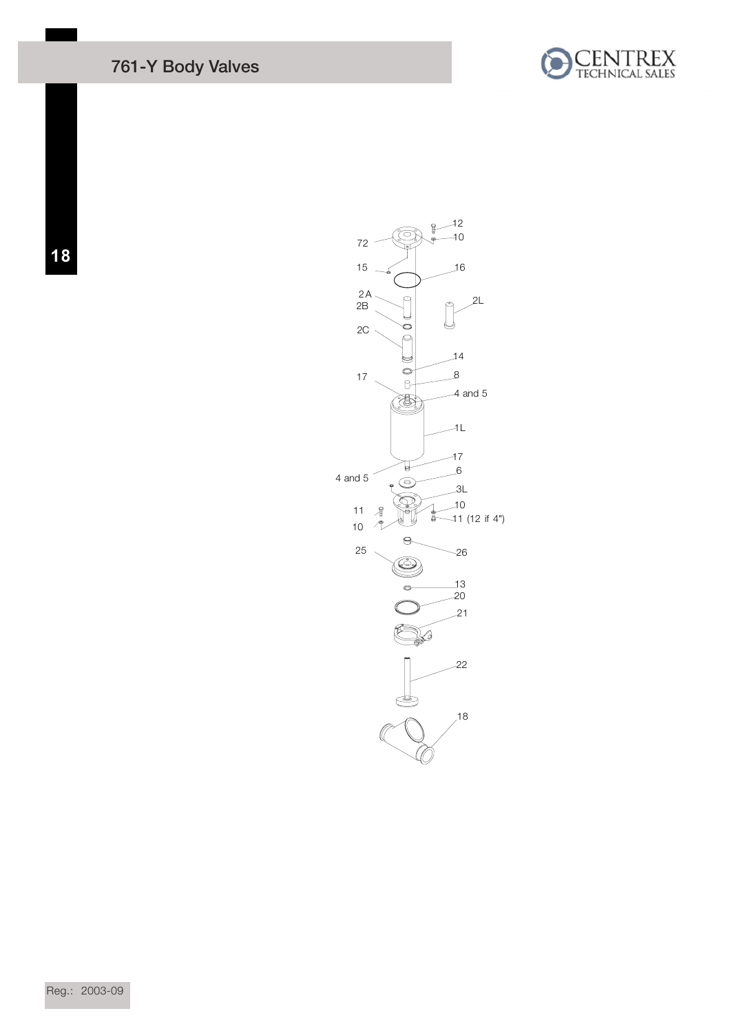## 761-Y Body Valves